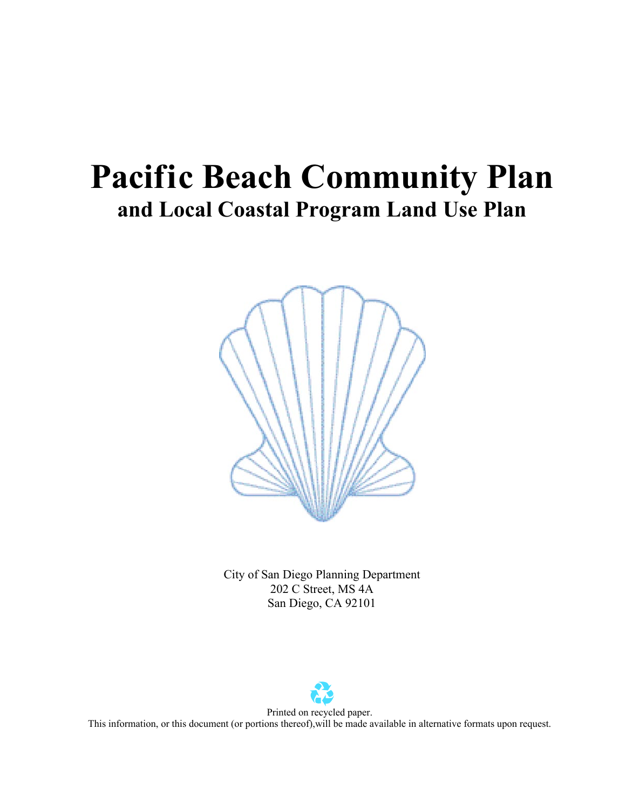# **Pacific Beach Community Plan and Local Coastal Program Land Use Plan**



City of San Diego Planning Department 202 C Street, MS 4A San Diego, CA 92101

Printed on recycled paper. This information, or this document (or portions thereof),will be made available in alternative formats upon request.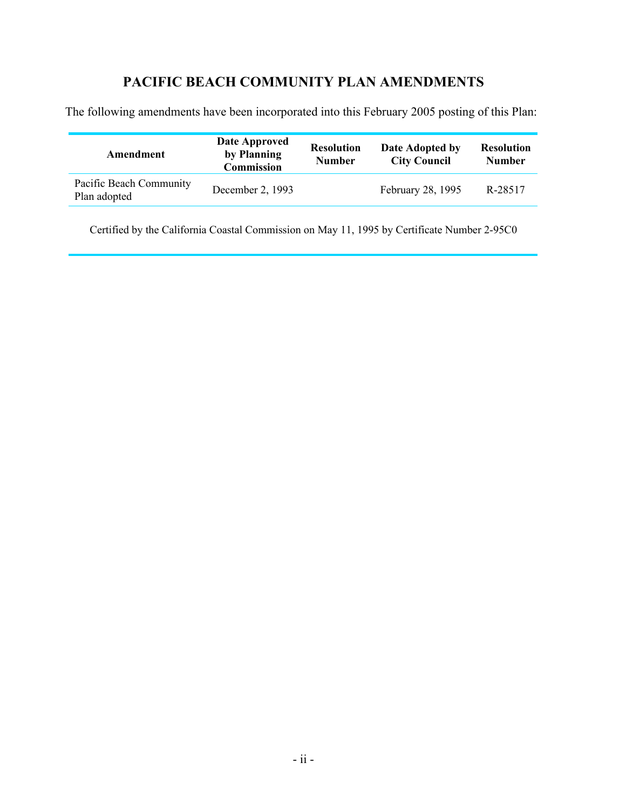## **PACIFIC BEACH COMMUNITY PLAN AMENDMENTS**

The following amendments have been incorporated into this February 2005 posting of this Plan:

| Amendment                               | Date Approved<br>by Planning<br><b>Commission</b> | <b>Resolution</b><br><b>Number</b> | Date Adopted by<br><b>City Council</b> | <b>Resolution</b><br><b>Number</b> |
|-----------------------------------------|---------------------------------------------------|------------------------------------|----------------------------------------|------------------------------------|
| Pacific Beach Community<br>Plan adopted | December 2, 1993                                  |                                    | February 28, 1995                      | R-28517                            |

Certified by the California Coastal Commission on May 11, 1995 by Certificate Number 2-95C0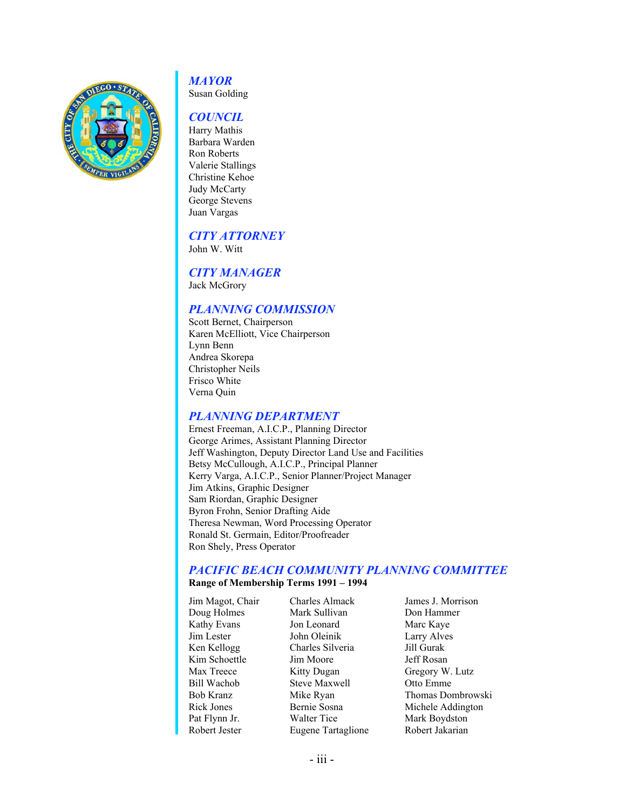

## *MAYOR*

Susan Golding

#### *COUNCIL*

Harry Mathis Barbara Warden Ron Roberts Valerie Stallings Christine Kehoe Judy McCarty George Stevens Juan Vargas

### *CITY ATTORNEY*

John W. Witt

### *CITY MANAGER*

Jack McGrory

### *PLANNING COMMISSION*

Scott Bernet, Chairperson Karen McElliott, Vice Chairperson Lynn Benn Andrea Skorepa Christopher Neils Frisco White Verna Quin

### *PLANNING DEPARTMENT*

Ernest Freeman, A.I.C.P., Planning Director George Arimes, Assistant Planning Director Jeff Washington, Deputy Director Land Use and Facilities Betsy McCullough, A.I.C.P., Principal Planner Kerry Varga, A.I.C.P., Senior Planner/Project Manager Jim Atkins, Graphic Designer Sam Riordan, Graphic Designer Byron Frohn, Senior Drafting Aide Theresa Newman, Word Processing Operator Ronald St. Germain, Editor/Proofreader Ron Shely, Press Operator

#### *PACIFIC BEACH COMMUNITY PLANNING COMMITTEE*

#### **Range of Membership Terms 1991 – 1994**

| Jim Magot, Chair | <b>Charles Almack</b> | James J. Morrison |
|------------------|-----------------------|-------------------|
| Doug Holmes      | Mark Sullivan         | Don Hammer        |
| Kathy Evans      | Jon Leonard           | Marc Kaye         |
| Jim Lester       | John Oleinik          | Larry Alves       |
| Ken Kellogg      | Charles Silveria      | Jill Gurak        |
| Kim Schoettle    | Jim Moore             | Jeff Rosan        |
| Max Treece       | Kitty Dugan           | Gregory W. Lutz   |
| Bill Wachob      | <b>Steve Maxwell</b>  | Otto Emme         |
| Bob Kranz        | Mike Ryan             | Thomas Dombrowski |
| Rick Jones       | Bernie Sosna          | Michele Addington |
| Pat Flynn Jr.    | Walter Tice           | Mark Boydston     |
| Robert Jester    | Eugene Tartaglione    | Robert Jakarian   |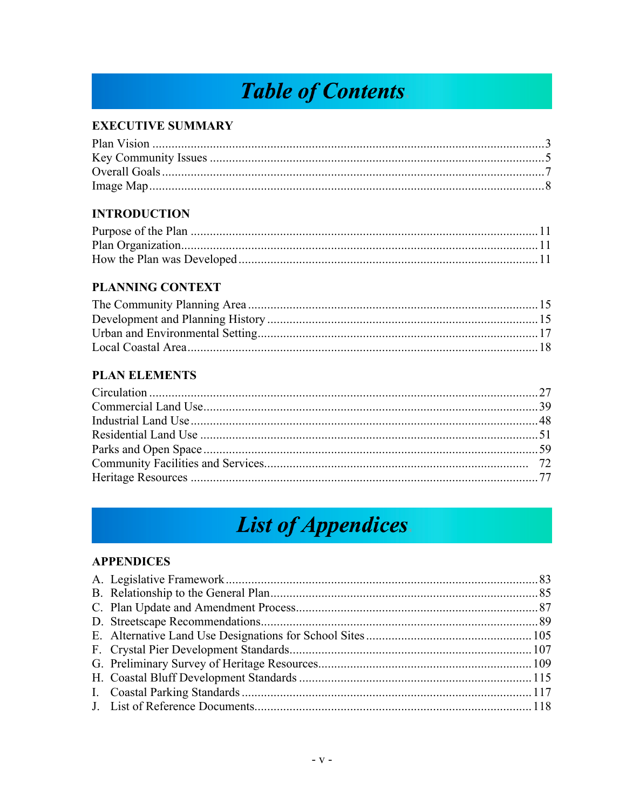## **Table of Contents.**

### **EXECUTIVE SUMMARY**

### **INTRODUCTION**

### **PLANNING CONTEXT**

### **PLAN ELEMENTS**

## **List of Appendices**

### **APPENDICES**